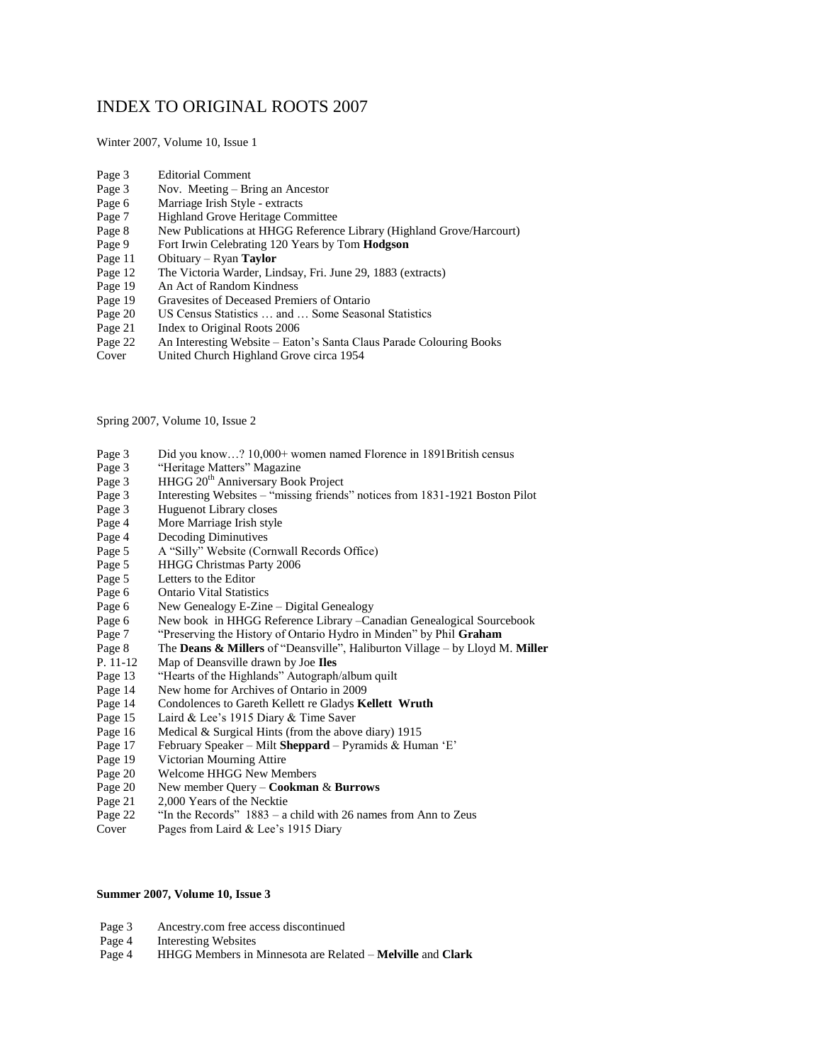## INDEX TO ORIGINAL ROOTS 2007

Winter 2007, Volume 10, Issue 1

- Page 3 Editorial Comment
- Page 3 Nov. Meeting Bring an Ancestor
- Page 6 Marriage Irish Style extracts<br>Page 7 Highland Grove Heritage Com
- Highland Grove Heritage Committee
- Page 8 New Publications at HHGG Reference Library (Highland Grove/Harcourt)
- Page 9 Fort Irwin Celebrating 120 Years by Tom **Hodgson**
- Page 11 Obituary Ryan **Taylor**
- Page 12 The Victoria Warder, Lindsay, Fri. June 29, 1883 (extracts)
- 
- Page 19 An Act of Random Kindness<br>Page 19 Gravesites of Deceased Prem Gravesites of Deceased Premiers of Ontario
- Page 20 US Census Statistics … and … Some Seasonal Statistics
- Page 21 Index to Original Roots 2006<br>Page 22 An Interesting Website Eato
- An Interesting Website Eaton's Santa Claus Parade Colouring Books
- Cover United Church Highland Grove circa 1954

Spring 2007, Volume 10, Issue 2

- Page 3 Did you know…? 10,000+ women named Florence in 1891British census
- Page 3 "Heritage Matters" Magazine
- Page 3 HHGG 20<sup>th</sup> Anniversary Book Project
- Page 3 Interesting Websites "missing friends" notices from 1831-1921 Boston Pilot
- Page 3 Huguenot Library closes
- Page 4 More Marriage Irish style
- Page 4 Decoding Diminutives
- Page 5 A "Silly" Website (Cornwall Records Office)
- Page 5 HHGG Christmas Party 2006
- Page 5 Letters to the Editor
- Page 6 Ontario Vital Statistics
- Page 6 New Genealogy E-Zine Digital Genealogy
- Page 6 New book in HHGG Reference Library –Canadian Genealogical Sourcebook
- Page 7 "Preserving the History of Ontario Hydro in Minden" by Phil **Graham**
- Page 8 The **Deans & Millers** of "Deansville", Haliburton Village by Lloyd M. **Miller**
- P. 11-12 Map of Deansville drawn by Joe **Iles**
- Page 13 "Hearts of the Highlands" Autograph/album quilt
- Page 14 New home for Archives of Ontario in 2009<br>Page 14 Condolences to Gareth Kellett re Gladys K
- Page 14 Condolences to Gareth Kellett re Gladys **Kellett Wruth**<br>Page 15 Laird & Lee's 1915 Diary & Time Saver
- 
- Page 15 Laird & Lee's 1915 Diary & Time Saver<br>Page 16 Medical & Surgical Hints (from the abov Page 16 Medical & Surgical Hints (from the above diary) 1915<br>Page 17 February Speaker – Milt **Sheppard** – Pyramids & Hun
- February Speaker Milt Sheppard Pyramids & Human 'E'
- Page 19 Victorian Mourning Attire
- Page 20 Welcome HHGG New Members
- Page 20 New member Query **Cookman** & **Burrows**
- Page 21 2,000 Years of the Necktie
- Page 22 "In the Records" 1883 a child with 26 names from Ann to Zeus
- Cover Pages from Laird & Lee's 1915 Diary

## **Summer 2007, Volume 10, Issue 3**

- Page 3 Ancestry.com free access discontinued
- Page 4 Interesting Websites<br>Page 4 HHGG Members in 1
- Page 4 HHGG Members in Minnesota are Related **Melville** and **Clark**